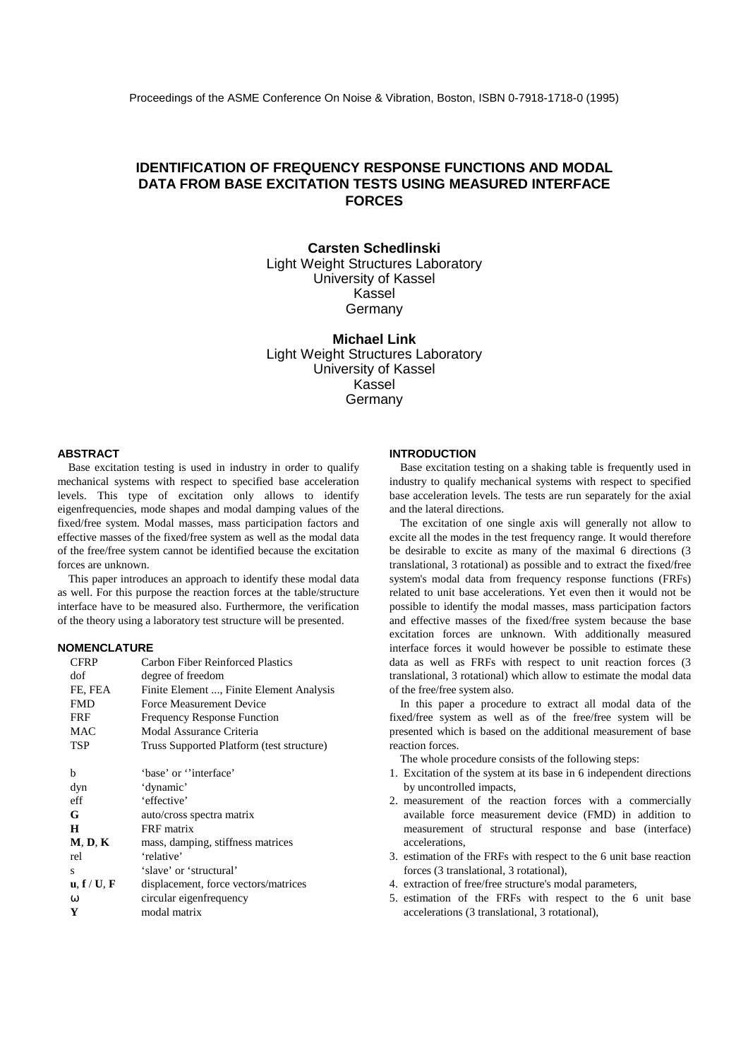# **IDENTIFICATION OF FREQUENCY RESPONSE FUNCTIONS AND MODAL DATA FROM BASE EXCITATION TESTS USING MEASURED INTERFACE FORCES**

## **Carsten Schedlinski** Light Weight Structures Laboratory University of Kassel Kassel Germany

**Michael Link** Light Weight Structures Laboratory University of Kassel Kassel Germany

### **ABSTRACT**

Base excitation testing is used in industry in order to qualify mechanical systems with respect to specified base acceleration levels. This type of excitation only allows to identify eigenfrequencies, mode shapes and modal damping values of the fixed/free system. Modal masses, mass participation factors and effective masses of the fixed/free system as well as the modal data of the free/free system cannot be identified because the excitation forces are unknown.

This paper introduces an approach to identify these modal data as well. For this purpose the reaction forces at the table/structure interface have to be measured also. Furthermore, the verification of the theory using a laboratory test structure will be presented.

## **NOMENCLATURE**

| <b>CFRP</b>                                       | Carbon Fiber Reinforced Plastics          |  |  |  |
|---------------------------------------------------|-------------------------------------------|--|--|--|
| dof                                               | degree of freedom                         |  |  |  |
| FE, FEA                                           | Finite Element , Finite Element Analysis  |  |  |  |
| <b>FMD</b>                                        | Force Measurement Device                  |  |  |  |
| FRF                                               | <b>Frequency Response Function</b>        |  |  |  |
| MAC                                               | Modal Assurance Criteria                  |  |  |  |
| TSP                                               | Truss Supported Platform (test structure) |  |  |  |
|                                                   |                                           |  |  |  |
| h                                                 | 'base' or "interface"                     |  |  |  |
| dyn                                               | 'dynamic'                                 |  |  |  |
| eff                                               | 'effective'                               |  |  |  |
| G                                                 | auto/cross spectra matrix                 |  |  |  |
| H                                                 | FRF matrix                                |  |  |  |
| <b>M, D, K</b>                                    | mass, damping, stiffness matrices         |  |  |  |
| rel                                               | 'relative'                                |  |  |  |
| s                                                 | 'slave' or 'structural'                   |  |  |  |
| $\mathbf{u}, \mathbf{f} / \mathbf{U}, \mathbf{F}$ | displacement, force vectors/matrices      |  |  |  |
| $\omega$                                          | circular eigenfrequency                   |  |  |  |
| Y                                                 | modal matrix                              |  |  |  |

## **INTRODUCTION**

Base excitation testing on a shaking table is frequently used in industry to qualify mechanical systems with respect to specified base acceleration levels. The tests are run separately for the axial and the lateral directions.

The excitation of one single axis will generally not allow to excite all the modes in the test frequency range. It would therefore be desirable to excite as many of the maximal 6 directions (3 translational, 3 rotational) as possible and to extract the fixed/free system's modal data from frequency response functions (FRFs) related to unit base accelerations. Yet even then it would not be possible to identify the modal masses, mass participation factors and effective masses of the fixed/free system because the base excitation forces are unknown. With additionally measured interface forces it would however be possible to estimate these data as well as FRFs with respect to unit reaction forces (3 translational, 3 rotational) which allow to estimate the modal data of the free/free system also.

In this paper a procedure to extract all modal data of the fixed/free system as well as of the free/free system will be presented which is based on the additional measurement of base reaction forces.

The whole procedure consists of the following steps:

- 1. Excitation of the system at its base in 6 independent directions by uncontrolled impacts,
- 2. measurement of the reaction forces with a commercially available force measurement device (FMD) in addition to measurement of structural response and base (interface) accelerations,
- 3. estimation of the FRFs with respect to the 6 unit base reaction forces (3 translational, 3 rotational),
- 4. extraction of free/free structure's modal parameters,
- 5. estimation of the FRFs with respect to the 6 unit base accelerations (3 translational, 3 rotational),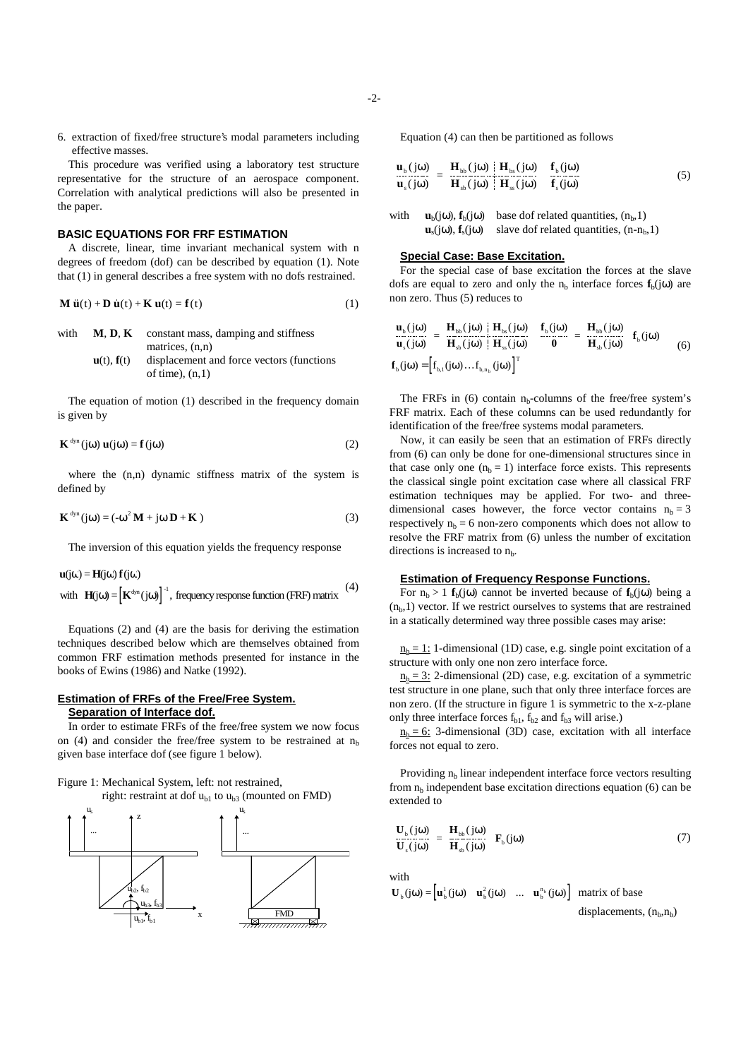6. extraction of fixed/free structure's modal parameters including effective masses.

This procedure was verified using a laboratory test structure representative for the structure of an aerospace component. Correlation with analytical predictions will also be presented in the paper.

#### **BASIC EQUATIONS FOR FRF ESTIMATION**

A discrete, linear, time invariant mechanical system with n degrees of freedom (dof) can be described by equation (1). Note that (1) in general describes a free system with no dofs restrained. A discrete, linear, time invariant mechanical system with n<br>degrees of freedom (dof) can be described by equation (1). Note<br>that (1) in general describes a free system with no dofs restrained.<br>**M**  $\ddot{u}(t) + D \dot{u}(t) + K u(t) =$ 

$$
\mathbf{M}\mathbf{u}(t) + \mathbf{D}\mathbf{u}(t) + \mathbf{K}\mathbf{u}(t) = \mathbf{f}(t)
$$
 (1)

| with | <b>M. D. K</b>                    | constant mass, damping and stiffness       |
|------|-----------------------------------|--------------------------------------------|
|      |                                   | matrices, $(n,n)$                          |
|      | $\mathbf{u}(t)$ , $\mathbf{f}(t)$ | displacement and force vectors (functions) |
|      |                                   | of time), $(n,1)$                          |

The equation of motion (1) described in the frequency domain is given by

$$
\mathbf{K}^{\text{dyn}}(j\omega)\mathbf{u}(j\omega) = \mathbf{f}(j\omega)
$$
 (2)

where the  $(n,n)$  dynamic stiffness matrix of the system is defined by

$$
\mathbf{K}^{\text{dyn}}(j\omega) = (-\omega^2 \mathbf{M} + j\omega \mathbf{D} + \mathbf{K})
$$
 (3)

The inversion of this equation yields the frequency response

with  $\mathbf{H}(j\omega) = [\mathbf{K}^{\text{dyn}}(j\omega)]^{-1}$ , frequency response function (FRF) matrix  $(4)$  $\mathbf{u}(\mathrm{j}\omega) = \mathbf{H}(\mathrm{j}\omega) \mathbf{f}(\mathrm{j}\omega)$ 

Equations (2) and (4) are the basis for deriving the estimation techniques described below which are themselves obtained from common FRF estimation methods presented for instance in the books of Ewins (1986) and Natke (1992).

## **Estimation of FRFs of the Free/Free System. Separation of Interface dof.**

In order to estimate FRFs of the free/free system we now focus on (4) and consider the free/free system to be restrained at  $n<sub>b</sub>$ given base interface dof (see figure 1 below).

Figure 1: Mechanical System, left: not restrained,

right: restraint at dof  $u_{b1}$  to  $u_{b3}$  (mounted on FMD)



Equation (4) can then be partitioned as follows

$$
\begin{bmatrix} \mathbf{u}_{\rm b}(j\omega) \\ \mathbf{u}_{\rm s}(j\omega) \end{bmatrix} = \begin{bmatrix} \mathbf{H}_{\rm bb}(j\omega) & \mathbf{H}_{\rm bs}(j\omega) \\ \mathbf{H}_{\rm sb}(j\omega) & \mathbf{H}_{\rm ss}(j\omega) \end{bmatrix} \begin{bmatrix} \mathbf{f}_{\rm b}(j\omega) \\ \mathbf{f}_{\rm s}(j\omega) \end{bmatrix}
$$
(5)

with  $\mathbf{u}_b(i\omega)$ ,  $\mathbf{f}_b(i\omega)$  base dof related quantities,  $(n_b,1)$  $\mathbf{u}_s(i\omega)$ ,  $\mathbf{f}_s(i\omega)$  slave dof related quantities,  $(n-n_b,1)$ 

### **Special Case: Base Excitation.**

For the special case of base excitation the forces at the slave dofs are equal to zero and only the  $n_b$  interface forces  $f_b(i\omega)$  are non zero. Thus (5) reduces to

$$
\begin{bmatrix} \mathbf{u}_{\text{b}}(j\omega) \\ \mathbf{u}_{\text{s}}(j\omega) \end{bmatrix} = \begin{bmatrix} \mathbf{H}_{\text{bb}}(j\omega) & \mathbf{H}_{\text{bs}}(j\omega) \\ \mathbf{H}_{\text{sb}}(j\omega) & \mathbf{H}_{\text{ss}}(j\omega) \end{bmatrix} \begin{bmatrix} \mathbf{f}_{\text{b}}(j\omega) \\ \mathbf{0} \end{bmatrix} = \begin{bmatrix} \mathbf{H}_{\text{bb}}(j\omega) \\ \mathbf{H}_{\text{sb}}(j\omega) \end{bmatrix} \mathbf{f}_{\text{b}}(j\omega) \\ \mathbf{f}_{\text{b}}(j\omega) = \begin{bmatrix} \mathbf{f}_{\text{b},1}(j\omega) & \mathbf{f}_{\text{b}}(j\omega) \\ \mathbf{f}_{\text{b},1}(j\omega) & \mathbf{f}_{\text{b},1}(j\omega) \end{bmatrix}^{\text{T}} \tag{6}
$$

The FRFs in  $(6)$  contain n<sub>b</sub>-columns of the free/free system's FRF matrix. Each of these columns can be used redundantly for identification of the free/free systems modal parameters.

Now, it can easily be seen that an estimation of FRFs directly from (6) can only be done for one-dimensional structures since in that case only one  $(n_b = 1)$  interface force exists. This represents the classical single point excitation case where all classical FRF estimation techniques may be applied. For two- and threedimensional cases however, the force vector contains  $n_b = 3$ respectively  $n_b = 6$  non-zero components which does not allow to resolve the FRF matrix from (6) unless the number of excitation directions is increased to  $n<sub>b</sub>$ .

## **Estimation of Frequency Response Functions.**

For  $n_b > 1$  **f**<sub>b</sub>(jω) cannot be inverted because of **f**<sub>b</sub>(jω) being a  $(n_h,1)$  vector. If we restrict ourselves to systems that are restrained in a statically determined way three possible cases may arise:

 $n_b = 1$ : 1-dimensional (1D) case, e.g. single point excitation of a structure with only one non zero interface force.

 $n_b = 3$ : 2-dimensional (2D) case, e.g. excitation of a symmetric test structure in one plane, such that only three interface forces are non zero. (If the structure in figure 1 is symmetric to the x-z-plane only three interface forces  $f_{b1}$ ,  $f_{b2}$  and  $f_{b3}$  will arise.)

 $n_b = 6$ : 3-dimensional (3D) case, excitation with all interface forces not equal to zero.

Providing  $n<sub>b</sub>$  linear independent interface force vectors resulting from  $n_b$  independent base excitation directions equation (6) can be extended to

$$
\begin{bmatrix} \mathbf{U}_{\text{b}}(j\omega) \\ \mathbf{U}_{\text{s}}(j\omega) \end{bmatrix} = \begin{bmatrix} \mathbf{H}_{\text{bb}}(j\omega) \\ \mathbf{H}_{\text{sb}}(j\omega) \end{bmatrix} \mathbf{F}_{\text{b}}(j\omega) \tag{7}
$$

with

 $\mathbf{U}_{\mathrm{b}}(\mathrm{j}\omega) = \left[\mathbf{u}_{\mathrm{b}}^{\mathrm{1}}(\mathrm{j}\omega) \mid \mathbf{u}_{\mathrm{b}}^{\mathrm{2}}(\mathrm{j}\omega) \mid ... \mid \mathbf{u}_{\mathrm{b}}^{\mathrm{n}_{\mathrm{b}}}(\mathrm{j}\omega) \right]$  matrix of base

displacements,  $(n_b, n_b)$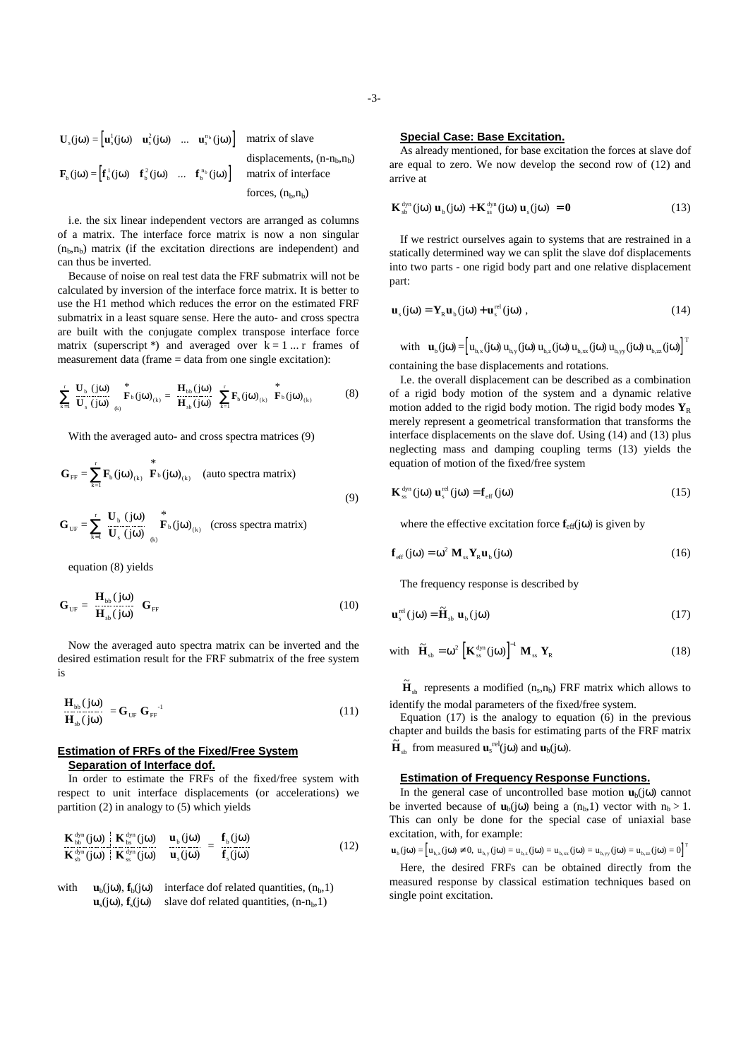$$
\mathbf{U}_{s}(j\omega) = \begin{bmatrix} \mathbf{u}_{s}^{1}(j\omega) & \vdots & \mathbf{u}_{s}^{2}(j\omega) & \vdots & \cdots & \vdots & \mathbf{u}_{s}^{n_{b}}(j\omega) \end{bmatrix} \text{ matrix of slavedisplacements, } (\mathbf{n} - \mathbf{n}_{b}, \mathbf{n}_{b})
$$
  

$$
\mathbf{F}_{b}(j\omega) = \begin{bmatrix} \mathbf{f}_{b}^{1}(j\omega) & \vdots & \mathbf{f}_{b}^{2}(j\omega) & \vdots & \cdots & \vdots & \mathbf{f}_{b}^{n_{b}}(j\omega) \end{bmatrix} \text{ matrix of interfaceforces, } (\mathbf{n}_{b}, \mathbf{n}_{b})
$$

i.e. the six linear independent vectors are arranged as columns of a matrix. The interface force matrix is now a non singular  $(n<sub>b</sub>,n<sub>b</sub>)$  matrix (if the excitation directions are independent) and can thus be inverted.

Because of noise on real test data the FRF submatrix will not be calculated by inversion of the interface force matrix. It is better to use the H1 method which reduces the error on the estimated FRF submatrix in a least square sense. Here the auto- and cross spectra are built with the conjugate complex transpose interface force matrix (superscript \*) and averaged over  $k = 1 ... r$  frames of measurement data (frame = data from one single excitation):

$$
\sum_{k=1}^{r} \left[ \frac{\mathbf{U}_{b} \left( j\omega \right)}{\mathbf{U}_{s} \left( j\omega \right)} \right]_{(k)} \stackrel{*}{\to} f_{b} \left( j\omega \right)_{(k)} = \left[ \frac{\mathbf{H}_{bb} \left( j\omega \right)}{\mathbf{H}_{ab} \left( j\omega \right)} \right] \sum_{k=1}^{r} \mathbf{F}_{b} \left( j\omega \right)_{(k)} \stackrel{*}{\to} f_{b} \left( j\omega \right)_{(k)} \tag{8}
$$

With the averaged auto- and cross spectra matrices (9)

$$
\mathbf{G}_{\text{FF}} = \sum_{k=1}^{r} \mathbf{F}_{\text{b}}(j\omega)_{(k)} \stackrel{*}{\mathbf{F}_{\text{b}}(j\omega)_{(k)}} \text{ (auto spectra matrix)}
$$
\n
$$
\mathbf{G}_{\text{UF}} = \sum_{k=1}^{r} \left[ \frac{\mathbf{U}_{\text{b}}(j\omega)}{\mathbf{U}_{\text{s}}(j\omega)} \right]_{(k)} \stackrel{*}{\mathbf{F}_{\text{b}}(j\omega)_{(k)}} \text{ (cross spectra matrix)}
$$
\n(9)

equation (8) yields

$$
\mathbf{G}_{\text{UF}} = \left[\frac{\mathbf{H}_{\text{bb}}(j\omega)}{\mathbf{H}_{\text{bb}}(j\omega)}\right] \mathbf{G}_{\text{FF}} \tag{10}
$$

Now the averaged auto spectra matrix can be inverted and the desired estimation result for the FRF submatrix of the free system is

$$
\left[\frac{\mathbf{H}_{\text{bb}}(j\omega)}{\mathbf{H}_{\text{sh}}(j\omega)}\right] = \mathbf{G}_{\text{UF}} \mathbf{G}_{\text{FF}}^{-1} \tag{11}
$$

### **Estimation of FRFs of the Fixed/Free System Separation of Interface dof.**

In order to estimate the FRFs of the fixed/free system with respect to unit interface displacements (or accelerations) we partition (2) in analogy to (5) which yields

$$
\left[\frac{\mathbf{K}_{\text{bb}}^{\text{dyn}}(j\omega)}{\mathbf{K}_{\text{sh}}^{\text{dyn}}(j\omega)}\right]\frac{\mathbf{K}_{\text{bb}}^{\text{dyn}}(j\omega)}{\mathbf{K}_{\text{ss}}^{\text{dyn}}(j\omega)}\right]\left[\frac{\mathbf{u}_{\text{b}}(j\omega)}{\mathbf{u}_{\text{s}}(j\omega)}\right]=\left[\frac{\mathbf{f}_{\text{b}}(j\omega)}{\mathbf{f}_{\text{s}}(j\omega)}\right]
$$
(12)

with  $\mathbf{u}_b(j\omega)$ ,  $\mathbf{f}_b(j\omega)$  interface dof related quantities,  $(n_b,1)$  $\mathbf{u}_s(i\omega)$ ,  $\mathbf{f}_s(i\omega)$  slave dof related quantities,  $(n-n_b,1)$ 

#### **Special Case: Base Excitation.**

As already mentioned, for base excitation the forces at slave dof are equal to zero. We now develop the second row of (12) and arrive at

$$
\mathbf{K}_{sb}^{\text{dyn}}(j\omega)\mathbf{u}_{b}(j\omega)+\mathbf{K}_{ss}^{\text{dyn}}(j\omega)\mathbf{u}_{s}(j\omega)=0
$$
 (13)

If we restrict ourselves again to systems that are restrained in a statically determined way we can split the slave dof displacements into two parts - one rigid body part and one relative displacement part:

$$
\mathbf{u}_{s}(j\omega) = \mathbf{Y}_{R}\mathbf{u}_{b}(j\omega) + \mathbf{u}_{s}^{\text{rel}}(j\omega) , \qquad (14)
$$

with  $\mathbf{u}_{\mathrm{b}}(\mathrm{j}\omega) = \left[ u_{\mathrm{b},x}(\mathrm{j}\omega) u_{\mathrm{b},y}(\mathrm{j}\omega) u_{\mathrm{b},x}(\mathrm{j}\omega) u_{\mathrm{b},xy}(\mathrm{j}\omega) u_{\mathrm{b},zx}(\mathrm{j}\omega) \right]^{\mathrm{T}}$ 

containing the base displacements and rotations.

I.e. the overall displacement can be described as a combination of a rigid body motion of the system and a dynamic relative motion added to the rigid body motion. The rigid body modes  $Y_R$ merely represent a geometrical transformation that transforms the interface displacements on the slave dof. Using (14) and (13) plus neglecting mass and damping coupling terms (13) yields the equation of motion of the fixed/free system

$$
\mathbf{K}_{\text{ss}}^{\text{dyn}}(j\omega)\mathbf{u}_{\text{s}}^{\text{rel}}(j\omega) = \mathbf{f}_{\text{eff}}(j\omega)
$$
 (15)

where the effective excitation force  $f_{\text{eff}}(j\omega)$  is given by

$$
\mathbf{f}_{\rm eff}(\mathbf{j}\omega) = \omega^2 \, \mathbf{M}_{\rm ss} \mathbf{Y}_{\rm R} \mathbf{u}_{\rm b}(\mathbf{j}\omega) \tag{16}
$$

The frequency response is described by

$$
\mathbf{u}_{s}^{\text{rel}}(j\omega) = \widetilde{\mathbf{H}}_{sb} \mathbf{u}_{b}(j\omega)
$$
 (17)

with 
$$
\tilde{\mathbf{H}}_{sb} = \omega^2 \left[ \mathbf{K}_{ss}^{\text{dyn}}(j\omega) \right]^{-1} \mathbf{M}_{ss} \mathbf{Y}_R
$$
 (18)

 $\widetilde{\mathbf{H}}_{sb}$  represents a modified (n<sub>s</sub>,n<sub>b</sub>) FRF matrix which allows to identify the modal parameters of the fixed/free system.

Equation  $(17)$  is the analogy to equation  $(6)$  in the previous chapter and builds the basis for estimating parts of the FRF matrix  $\tilde{\mathbf{H}}_{sb}$  from measured  $\mathbf{u}_s^{\text{rel}}(j\omega)$  and  $\mathbf{u}_b(j\omega)$ .

## **Estimation of Frequency Response Functions.**

In the general case of uncontrolled base motion  $\mathbf{u}_b(i\omega)$  cannot be inverted because of  $\mathbf{u}_b(i\omega)$  being a  $(n_b,1)$  vector with  $n_b > 1$ . This can only be done for the special case of uniaxial base excitation, with, for example:

$$
\mathbf{u}_{\mathrm{b}}(j\omega) = \left[ u_{\mathrm{b},x}(j\omega) \neq 0, u_{\mathrm{b},y}(j\omega) = u_{\mathrm{b},z}(j\omega) = u_{\mathrm{b},xx}(j\omega) = u_{\mathrm{b},yy}(j\omega) = u_{\mathrm{b},zz}(j\omega) = 0 \right]^{\mathrm{T}}
$$

Here, the desired FRFs can be obtained directly from the measured response by classical estimation techniques based on single point excitation.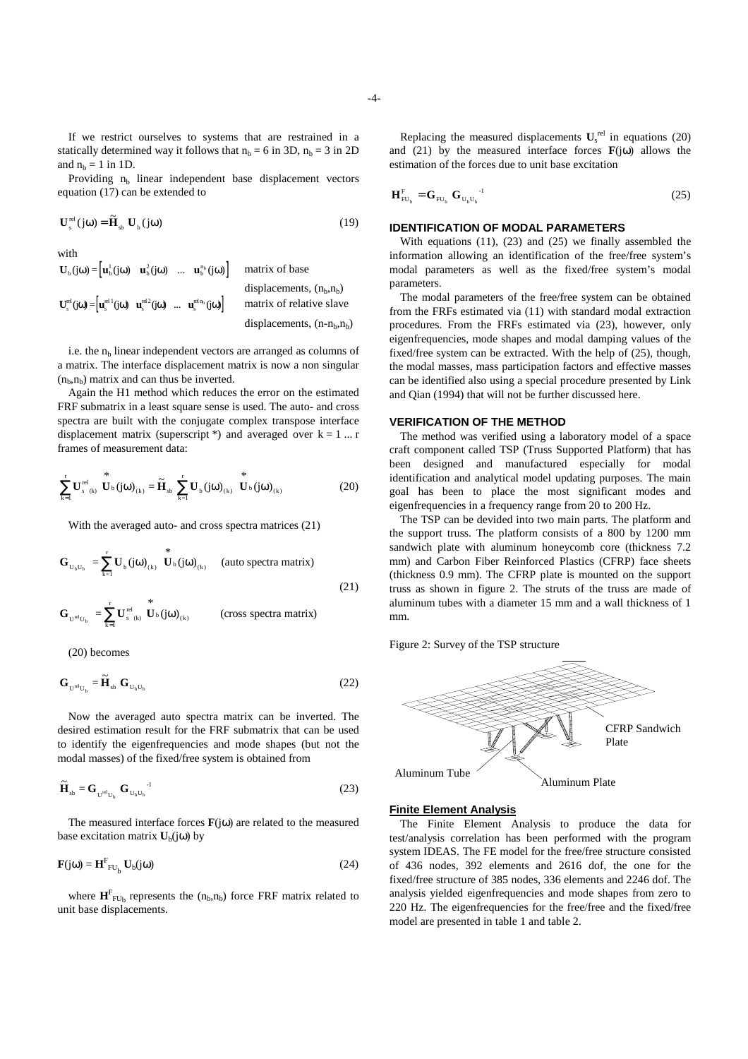If we restrict ourselves to systems that are restrained in a statically determined way it follows that  $n_b = 6$  in 3D,  $n_b = 3$  in 2D and  $n_b = 1$  in 1D.

Providing  $n_b$  linear independent base displacement vectors equation (17) can be extended to

$$
\mathbf{U}_{\mathrm{s}}^{\mathrm{rel}}(j\omega) = \widetilde{\mathbf{H}}_{\mathrm{sb}} \ \mathbf{U}_{\mathrm{b}}(j\omega) \tag{19}
$$

with

$$
\mathbf{U}_{\text{b}}(j\omega) = \begin{bmatrix} \mathbf{u}_{\text{b}}^{\text{I}}(j\omega) & \mathbf{u}_{\text{b}}^{\text{z}}(j\omega) & \dots & \mathbf{u}_{\text{b}}^{\text{n}_{\text{b}}}(j\omega) \end{bmatrix} \quad \text{matrix of base} \\ \text{displacements, } (\mathbf{n}_{\text{b}}, \mathbf{n}_{\text{b}})
$$
\n
$$
\mathbf{U}_{\text{s}}^{\text{rel}}(j\omega) = \begin{bmatrix} \mathbf{u}_{\text{s}}^{\text{rel}}(j\omega) & \mathbf{u}_{\text{s}}^{\text{rel}}(j\omega) & \dots & \mathbf{u}_{\text{s}}^{\text{rel}}(j\omega) \end{bmatrix} \quad \text{matrix of relative slave} \\ \text{displacements, } (\mathbf{n} - \mathbf{n}_{\text{b}}, \mathbf{n}_{\text{b}})
$$

i.e. the  $n<sub>b</sub>$  linear independent vectors are arranged as columns of a matrix. The interface displacement matrix is now a non singular  $(n_b, n_b)$  matrix and can thus be inverted.

Again the H1 method which reduces the error on the estimated FRF submatrix in a least square sense is used. The auto- and cross spectra are built with the conjugate complex transpose interface displacement matrix (superscript \*) and averaged over  $k = 1 ... r$ frames of measurement data:

$$
\sum_{k=1}^{r} \mathbf{U}_{s_{(k)}}^{\text{rel}} \stackrel{*}{\mathbf{U}}_{\text{b}} (j\omega)_{(k)} = \widetilde{\mathbf{H}}_{sb} \sum_{k=1}^{r} \mathbf{U}_{b} (j\omega)_{(k)} \stackrel{*}{\mathbf{U}}_{\text{b}} (j\omega)_{(k)} \tag{20}
$$

With the averaged auto- and cross spectra matrices (21)

$$
\mathbf{G}_{U_b U_b} = \sum_{k=1}^{r} \mathbf{U}_b (j\omega)_{(k)} \stackrel{*}{\mathbf{U}_b (j\omega)_{(k)}} \text{ (auto spectra matrix)}
$$
\n
$$
\mathbf{G}_{U^{rel} U_b} = \sum_{k=1}^{r} \mathbf{U}_s^{rel} \stackrel{*}{\mathbf{U}_b (j\omega)_{(k)}} \text{ (cross spectra matrix)}
$$
\n(21)

(20) becomes

$$
\mathbf{G}_{\mathbf{U}^{\text{rel}}\mathbf{U}_{\text{b}}} = \widetilde{\mathbf{H}}_{\text{sb}} \; \mathbf{G}_{\mathbf{U}_{\text{b}}\mathbf{U}_{\text{b}}} \tag{22}
$$

Now the averaged auto spectra matrix can be inverted. The desired estimation result for the FRF submatrix that can be used to identify the eigenfrequencies and mode shapes (but not the modal masses) of the fixed/free system is obtained from

$$
\widetilde{\mathbf{H}}_{sb} = \mathbf{G}_{\mathbf{U}^{rel} \mathbf{U}_b} \mathbf{G}_{\mathbf{U}_b \mathbf{U}_b}^{}
$$
 (23)

The measured interface forces  $\mathbf{F}(i\omega)$  are related to the measured base excitation matrix  $U_b(i\omega)$  by

$$
\mathbf{F}(j\omega) = \mathbf{H}^{\mathrm{F}}_{\mathrm{FU}_{\mathrm{b}}} \mathbf{U}_{\mathrm{b}}(j\omega) \tag{24}
$$

where  $\mathbf{H}_{\text{FU}_b}^{\text{F}}$  represents the  $(n_b, n_b)$  force FRF matrix related to unit base displacements.

Replacing the measured displacements  $U_s^{\text{rel}}$  in equations (20) and (21) by the measured interface forces  $\mathbf{F}(i\omega)$  allows the estimation of the forces due to unit base excitation

$$
\mathbf{H}_{\mathrm{FU}_{\mathrm{b}}}^{\mathrm{F}} = \mathbf{G}_{\mathrm{FU}_{\mathrm{b}}} \mathbf{G}_{\mathrm{U}_{\mathrm{b}}\mathrm{U}_{\mathrm{b}}}^{\mathrm{-1}} \tag{25}
$$

#### **IDENTIFICATION OF MODAL PARAMETERS**

With equations (11), (23) and (25) we finally assembled the information allowing an identification of the free/free system's modal parameters as well as the fixed/free system's modal parameters.

The modal parameters of the free/free system can be obtained from the FRFs estimated via (11) with standard modal extraction procedures. From the FRFs estimated via (23), however, only eigenfrequencies, mode shapes and modal damping values of the fixed/free system can be extracted. With the help of (25), though, the modal masses, mass participation factors and effective masses can be identified also using a special procedure presented by Link and Qian (1994) that will not be further discussed here.

#### **VERIFICATION OF THE METHOD**

The method was verified using a laboratory model of a space craft component called TSP (Truss Supported Platform) that has been designed and manufactured especially for modal identification and analytical model updating purposes. The main goal has been to place the most significant modes and eigenfrequencies in a frequency range from 20 to 200 Hz.

The TSP can be devided into two main parts. The platform and the support truss. The platform consists of a 800 by 1200 mm sandwich plate with aluminum honeycomb core (thickness 7.2 mm) and Carbon Fiber Reinforced Plastics (CFRP) face sheets (thickness 0.9 mm). The CFRP plate is mounted on the support truss as shown in figure 2. The struts of the truss are made of aluminum tubes with a diameter 15 mm and a wall thickness of 1 mm.

Figure 2: Survey of the TSP structure



#### **Finite Element Analysis**

The Finite Element Analysis to produce the data for test/analysis correlation has been performed with the program system IDEAS. The FE model for the free/free structure consisted of 436 nodes, 392 elements and 2616 dof, the one for the fixed/free structure of 385 nodes, 336 elements and 2246 dof. The analysis yielded eigenfrequencies and mode shapes from zero to 220 Hz. The eigenfrequencies for the free/free and the fixed/free model are presented in table 1 and table 2.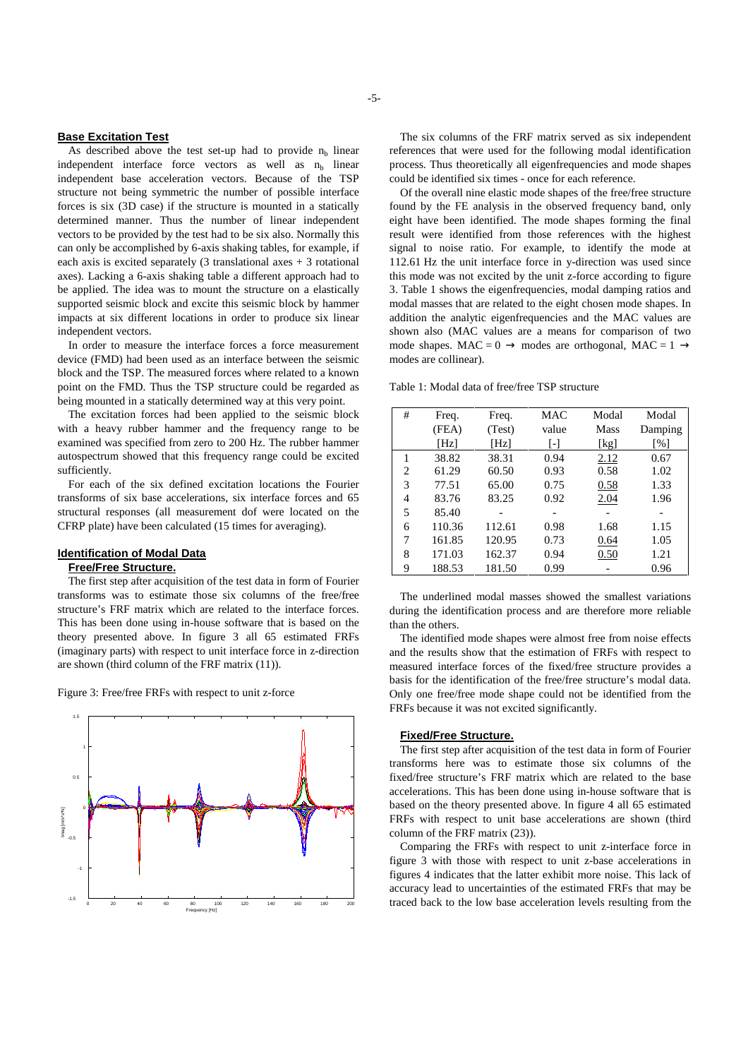### **Base Excitation Test**

As described above the test set-up had to provide  $n_b$  linear independent interface force vectors as well as  $n<sub>b</sub>$  linear independent base acceleration vectors. Because of the TSP structure not being symmetric the number of possible interface forces is six (3D case) if the structure is mounted in a statically determined manner. Thus the number of linear independent vectors to be provided by the test had to be six also. Normally this can only be accomplished by 6-axis shaking tables, for example, if each axis is excited separately  $(3$  translational axes  $+3$  rotational axes). Lacking a 6-axis shaking table a different approach had to be applied. The idea was to mount the structure on a elastically supported seismic block and excite this seismic block by hammer impacts at six different locations in order to produce six linear independent vectors.

In order to measure the interface forces a force measurement device (FMD) had been used as an interface between the seismic block and the TSP. The measured forces where related to a known point on the FMD. Thus the TSP structure could be regarded as being mounted in a statically determined way at this very point.

The excitation forces had been applied to the seismic block with a heavy rubber hammer and the frequency range to be examined was specified from zero to 200 Hz. The rubber hammer autospectrum showed that this frequency range could be excited sufficiently.

For each of the six defined excitation locations the Fourier transforms of six base accelerations, six interface forces and 65 structural responses (all measurement dof were located on the CFRP plate) have been calculated (15 times for averaging).

#### **Identification of Modal Data**

## **Free/Free Structure.**

The first step after acquisition of the test data in form of Fourier transforms was to estimate those six columns of the free/free structure's FRF matrix which are related to the interface forces. This has been done using in-house software that is based on the theory presented above. In figure 3 all 65 estimated FRFs (imaginary parts) with respect to unit interface force in z-direction are shown (third column of the FRF matrix (11)).

Figure 3: Free/free FRFs with respect to unit z-force



-5-

The six columns of the FRF matrix served as six independent references that were used for the following modal identification process. Thus theoretically all eigenfrequencies and mode shapes could be identified six times - once for each reference.

Of the overall nine elastic mode shapes of the free/free structure found by the FE analysis in the observed frequency band, only eight have been identified. The mode shapes forming the final result were identified from those references with the highest signal to noise ratio. For example, to identify the mode at 112.61 Hz the unit interface force in y-direction was used since this mode was not excited by the unit z-force according to figure 3. Table 1 shows the eigenfrequencies, modal damping ratios and modal masses that are related to the eight chosen mode shapes. In addition the analytic eigenfrequencies and the MAC values are shown also (MAC values are a means for comparison of two mode shapes. MAC = 0  $\rightarrow$  modes are orthogonal, MAC = 1  $\rightarrow$ modes are collinear).

| Table 1: Modal data of free/free TSP structure |
|------------------------------------------------|
|------------------------------------------------|

| #              | Freq.  | Freq.  | MAC   | Modal | Modal             |
|----------------|--------|--------|-------|-------|-------------------|
|                | (FEA)  | (Test) | value | Mass  | Damping           |
|                | [Hz]   | [Hz]   | L-1   | [kg]  | $\lceil\% \rceil$ |
|                | 38.82  | 38.31  | 0.94  | 2.12  | 0.67              |
| $\overline{c}$ | 61.29  | 60.50  | 0.93  | 0.58  | 1.02              |
| 3              | 77.51  | 65.00  | 0.75  | 0.58  | 1.33              |
| 4              | 83.76  | 83.25  | 0.92  | 2.04  | 1.96              |
| 5              | 85.40  |        |       |       |                   |
| 6              | 110.36 | 112.61 | 0.98  | 1.68  | 1.15              |
| 7              | 161.85 | 120.95 | 0.73  | 0.64  | 1.05              |
| 8              | 171.03 | 162.37 | 0.94  | 0.50  | 1.21              |
| 9              | 188.53 | 181.50 | 0.99  |       | 0.96              |

The underlined modal masses showed the smallest variations during the identification process and are therefore more reliable than the others.

The identified mode shapes were almost free from noise effects and the results show that the estimation of FRFs with respect to measured interface forces of the fixed/free structure provides a basis for the identification of the free/free structure's modal data. Only one free/free mode shape could not be identified from the FRFs because it was not excited significantly.

### **Fixed/Free Structure.**

The first step after acquisition of the test data in form of Fourier transforms here was to estimate those six columns of the fixed/free structure's FRF matrix which are related to the base accelerations. This has been done using in-house software that is based on the theory presented above. In figure 4 all 65 estimated FRFs with respect to unit base accelerations are shown (third column of the FRF matrix (23)).

Comparing the FRFs with respect to unit z-interface force in figure 3 with those with respect to unit z-base accelerations in figures 4 indicates that the latter exhibit more noise. This lack of accuracy lead to uncertainties of the estimated FRFs that may be traced back to the low base acceleration levels resulting from the